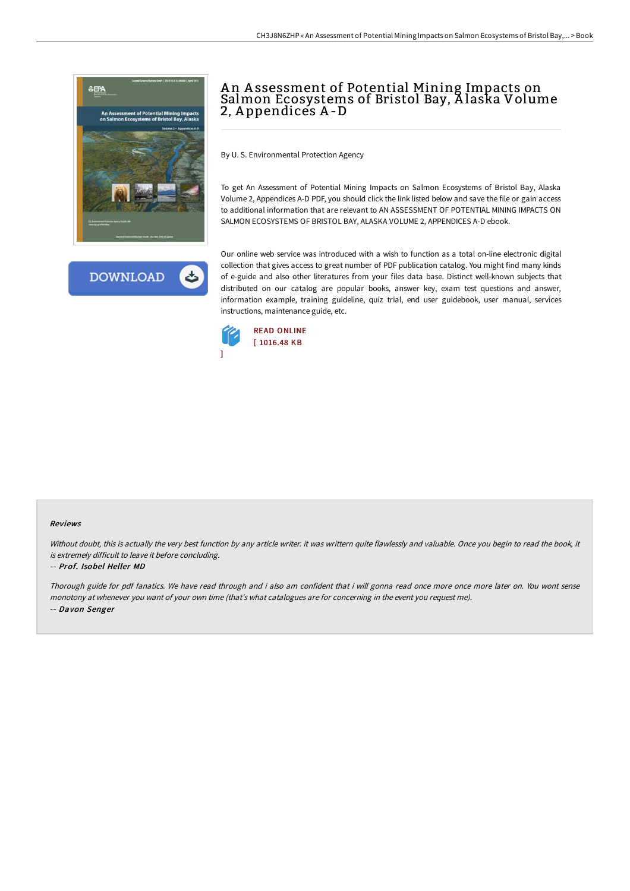

**DOWNLOAD** 

# A n A ssessment of Potential Mining Impacts on Salmon Ecosystems of Bristol Bay, A laska Volume 2, A ppendices A -D

By U. S. Environmental Protection Agency

To get An Assessment of Potential Mining Impacts on Salmon Ecosystems of Bristol Bay, Alaska Volume 2, Appendices A-D PDF, you should click the link listed below and save the file or gain access to additional information that are relevant to AN ASSESSMENT OF POTENTIAL MINING IMPACTS ON SALMON ECOSYSTEMS OF BRISTOL BAY, ALASKA VOLUME 2, APPENDICES A-D ebook.

Our online web service was introduced with a wish to function as a total on-line electronic digital collection that gives access to great number of PDF publication catalog. You might find many kinds of e-guide and also other literatures from your files data base. Distinct well-known subjects that distributed on our catalog are popular books, answer key, exam test questions and answer, information example, training guideline, quiz trial, end user guidebook, user manual, services instructions, maintenance guide, etc.



#### Reviews

Without doubt, this is actually the very best function by any article writer. it was writtern quite flawlessly and valuable. Once you begin to read the book, it is extremely difficult to leave it before concluding.

#### -- Prof. Isobel Heller MD

Thorough guide for pdf fanatics. We have read through and i also am confident that i will gonna read once more once more later on. You wont sense monotony at whenever you want of your own time (that's what catalogues are for concerning in the event you request me). -- Davon Senger